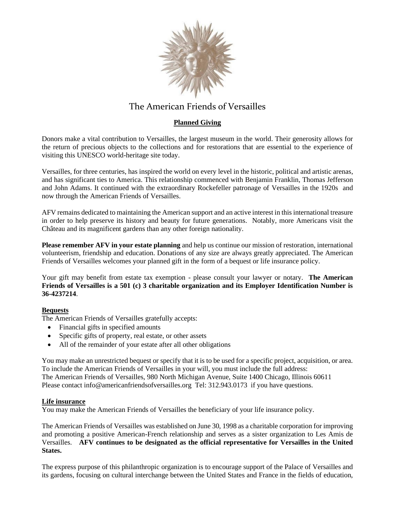

# The American Friends of Versailles

### **Planned Giving**

Donors make a vital contribution to Versailles, the largest museum in the world. Their generosity allows for the return of precious objects to the collections and for restorations that are essential to the experience of visiting this UNESCO world-heritage site today.

Versailles, for three centuries, has inspired the world on every level in the historic, political and artistic arenas, and has significant ties to America. This relationship commenced with Benjamin Franklin, Thomas Jefferson and John Adams. It continued with the extraordinary Rockefeller patronage of Versailles in the 1920s and now through the American Friends of Versailles.

AFV remains dedicated to maintaining the American support and an active interest in this international treasure in order to help preserve its history and beauty for future generations. Notably, more Americans visit the Château and its magnificent gardens than any other foreign nationality.

**Please remember AFV in your estate planning** and help us continue our mission of restoration, international volunteerism, friendship and education. Donations of any size are always greatly appreciated. The American Friends of Versailles welcomes your planned gift in the form of a bequest or life insurance policy.

Your gift may benefit from estate tax exemption - please consult your lawyer or notary. **The American Friends of Versailles is a 501 (c) 3 charitable organization and its Employer Identification Number is 36-4237214**.

#### **Bequests**

The American Friends of Versailles gratefully accepts:

- Financial gifts in specified amounts
- Specific gifts of property, real estate, or other assets
- All of the remainder of your estate after all other obligations

You may make an unrestricted bequest or specify that it is to be used for a specific project, acquisition, or area. To include the American Friends of Versailles in your will, you must include the full address: The American Friends of Versailles, 980 North Michigan Avenue, Suite 1400 Chicago, Illinois 60611 Please contact [info@americanfriendsofversailles.org](mailto:info@americanfriendsofversailles.org) Tel: 312.943.0173 if you have questions.

#### **Life insurance**

You may make the American Friends of Versailles the beneficiary of your life insurance policy.

The American Friends of Versailles was established on June 30, 1998 as a charitable corporation for improving and promoting a positive American-French relationship and serves as a sister organization to Les Amis de Versailles. **AFV continues to be designated as the official representative for Versailles in the United States.**

The express purpose of this philanthropic organization is to encourage support of the Palace of Versailles and its gardens, focusing on cultural interchange between the United States and France in the fields of education,